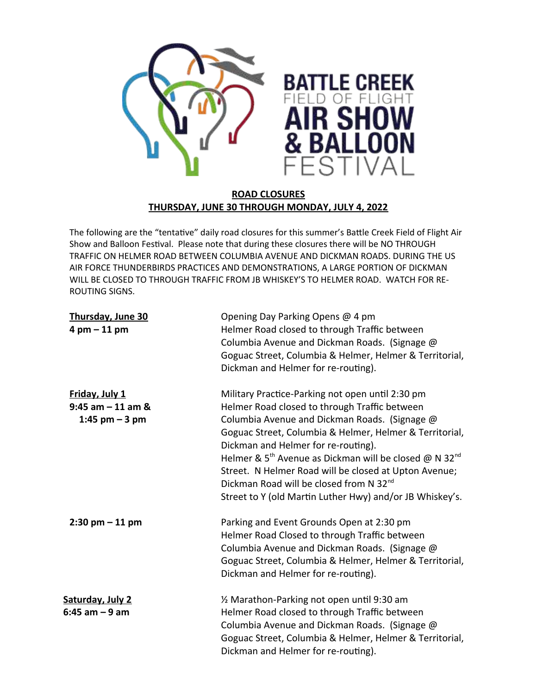

## **ROAD CLOSURES THURSDAY, JUNE 30 THROUGH MONDAY, JULY 4, 2022**

The following are the "tentative" daily road closures for this summer's Battle Creek Field of Flight Air Show and Balloon Festival. Please note that during these closures there will be NO THROUGH TRAFFIC ON HELMER ROAD BETWEEN COLUMBIA AVENUE AND DICKMAN ROADS. DURING THE US AIR FORCE THUNDERBIRDS PRACTICES AND DEMONSTRATIONS, A LARGE PORTION OF DICKMAN WILL BE CLOSED TO THROUGH TRAFFIC FROM JB WHISKEY'S TO HELMER ROAD. WATCH FOR RE-ROUTING SIGNS.

| Thursday, June 30<br>$4$ pm $-11$ pm                      | Opening Day Parking Opens @ 4 pm<br>Helmer Road closed to through Traffic between<br>Columbia Avenue and Dickman Roads. (Signage @<br>Goguac Street, Columbia & Helmer, Helmer & Territorial,<br>Dickman and Helmer for re-routing).                                                                                                                                                                                                                                                                               |
|-----------------------------------------------------------|--------------------------------------------------------------------------------------------------------------------------------------------------------------------------------------------------------------------------------------------------------------------------------------------------------------------------------------------------------------------------------------------------------------------------------------------------------------------------------------------------------------------|
| Friday, July 1<br>$9:45$ am $-11$ am &<br>1:45 pm $-3$ pm | Military Practice-Parking not open until 2:30 pm<br>Helmer Road closed to through Traffic between<br>Columbia Avenue and Dickman Roads. (Signage @<br>Goguac Street, Columbia & Helmer, Helmer & Territorial,<br>Dickman and Helmer for re-routing).<br>Helmer & 5 <sup>th</sup> Avenue as Dickman will be closed @ N 32 <sup>nd</sup><br>Street. N Helmer Road will be closed at Upton Avenue;<br>Dickman Road will be closed from N 32 <sup>nd</sup><br>Street to Y (old Martin Luther Hwy) and/or JB Whiskey's. |
| $2:30$ pm $-11$ pm                                        | Parking and Event Grounds Open at 2:30 pm<br>Helmer Road Closed to through Traffic between<br>Columbia Avenue and Dickman Roads. (Signage @<br>Goguac Street, Columbia & Helmer, Helmer & Territorial,<br>Dickman and Helmer for re-routing).                                                                                                                                                                                                                                                                      |
| Saturday, July 2<br>6:45 am – 9 am                        | 1/2 Marathon-Parking not open until 9:30 am<br>Helmer Road closed to through Traffic between<br>Columbia Avenue and Dickman Roads. (Signage @<br>Goguac Street, Columbia & Helmer, Helmer & Territorial,<br>Dickman and Helmer for re-routing).                                                                                                                                                                                                                                                                    |